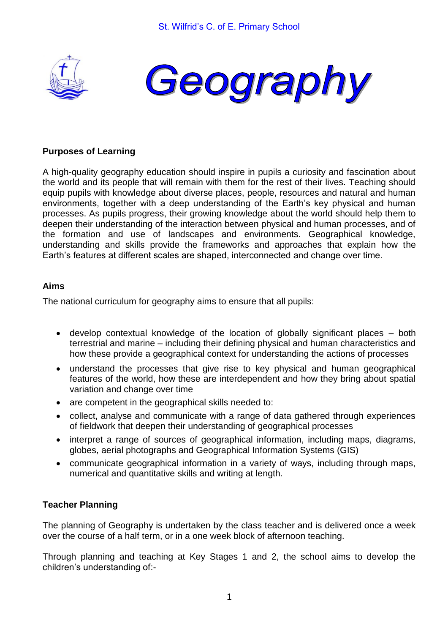



# **Purposes of Learning**

A high-quality geography education should inspire in pupils a curiosity and fascination about the world and its people that will remain with them for the rest of their lives. Teaching should equip pupils with knowledge about diverse places, people, resources and natural and human environments, together with a deep understanding of the Earth's key physical and human processes. As pupils progress, their growing knowledge about the world should help them to deepen their understanding of the interaction between physical and human processes, and of the formation and use of landscapes and environments. Geographical knowledge, understanding and skills provide the frameworks and approaches that explain how the Earth's features at different scales are shaped, interconnected and change over time.

## **Aims**

The national curriculum for geography aims to ensure that all pupils:

- develop contextual knowledge of the location of globally significant places both terrestrial and marine – including their defining physical and human characteristics and how these provide a geographical context for understanding the actions of processes
- understand the processes that give rise to key physical and human geographical features of the world, how these are interdependent and how they bring about spatial variation and change over time
- are competent in the geographical skills needed to:
- collect, analyse and communicate with a range of data gathered through experiences of fieldwork that deepen their understanding of geographical processes
- interpret a range of sources of geographical information, including maps, diagrams, globes, aerial photographs and Geographical Information Systems (GIS)
- communicate geographical information in a variety of ways, including through maps, numerical and quantitative skills and writing at length.

## **Teacher Planning**

The planning of Geography is undertaken by the class teacher and is delivered once a week over the course of a half term, or in a one week block of afternoon teaching.

Through planning and teaching at Key Stages 1 and 2, the school aims to develop the children's understanding of:-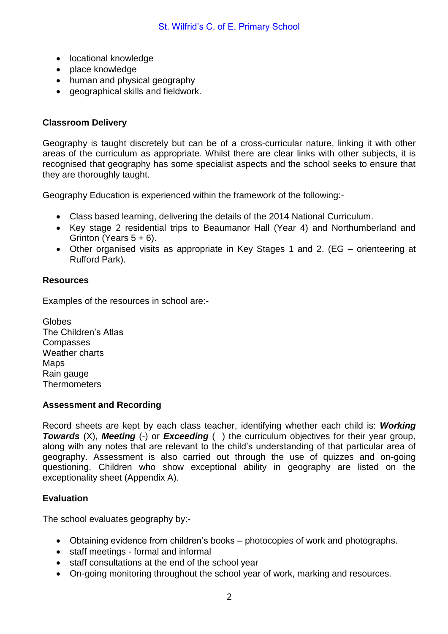- locational knowledge
- place knowledge
- human and physical geography
- geographical skills and fieldwork.

## **Classroom Delivery**

Geography is taught discretely but can be of a cross-curricular nature, linking it with other areas of the curriculum as appropriate. Whilst there are clear links with other subjects, it is recognised that geography has some specialist aspects and the school seeks to ensure that they are thoroughly taught.

Geography Education is experienced within the framework of the following:-

- Class based learning, delivering the details of the 2014 National Curriculum.
- Key stage 2 residential trips to Beaumanor Hall (Year 4) and Northumberland and Grinton (Years  $5 + 6$ ).
- Other organised visits as appropriate in Key Stages 1 and 2. (EG orienteering at Rufford Park).

#### **Resources**

Examples of the resources in school are:-

**Globes** The Children's Atlas **Compasses** Weather charts Maps Rain gauge **Thermometers** 

#### **Assessment and Recording**

Record sheets are kept by each class teacher, identifying whether each child is: *Working*  **Towards** (X), **Meeting** (-) or **Exceeding** () the curriculum objectives for their year group, along with any notes that are relevant to the child's understanding of that particular area of geography. Assessment is also carried out through the use of quizzes and on-going questioning. Children who show exceptional ability in geography are listed on the exceptionality sheet (Appendix A).

## **Evaluation**

The school evaluates geography by:-

- Obtaining evidence from children's books photocopies of work and photographs.
- staff meetings formal and informal
- staff consultations at the end of the school year
- On-going monitoring throughout the school year of work, marking and resources.